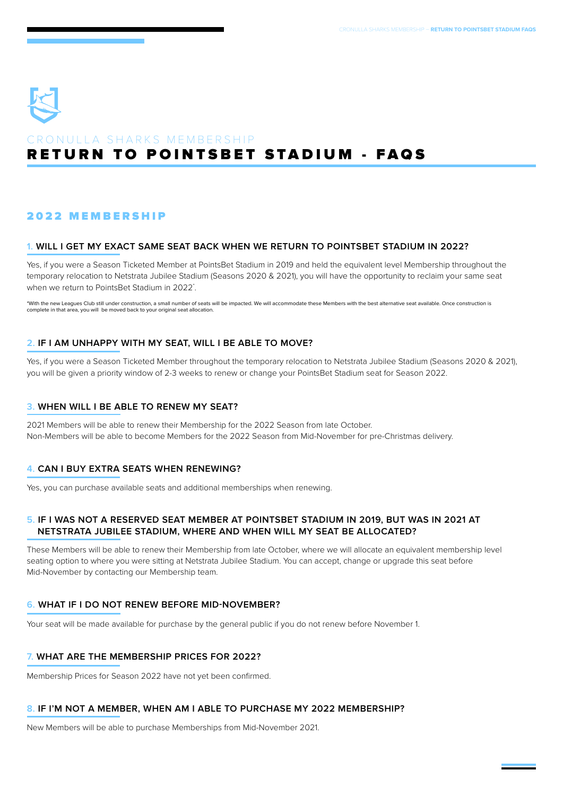

# RETURN TO POINTSBET STADIUM - FAQS CRONULLA SHARKS MEMBERSHIP

# 2022 MEMBERSHIP

#### **1. WILL I GET MY EXACT SAME SEAT BACK WHEN WE RETURN TO POINTSBET STADIUM IN 2022?**

Yes, if you were a Season Ticketed Member at PointsBet Stadium in 2019 and held the equivalent level Membership throughout the temporary relocation to Netstrata Jubilee Stadium (Seasons 2020 & 2021), you will have the opportunity to reclaim your same seat when we return to PointsBet Stadium in 2022\* .

\*With the new Leagues Club still under construction, a small number of seats will be impacted. We will accommodate these Members with the best alternative seat available. Once construction is complete in that area, you will be moved back to your original seat allocation.

#### **2. IF I AM UNHAPPY WITH MY SEAT, WILL I BE ABLE TO MOVE?**

Yes, if you were a Season Ticketed Member throughout the temporary relocation to Netstrata Jubilee Stadium (Seasons 2020 & 2021). you will be given a priority window of 2-3 weeks to renew or change your PointsBet Stadium seat for Season 2022.

#### **3. WHEN WILL I BE ABLE TO RENEW MY SEAT?**

2021 Members will be able to renew their Membership for the 2022 Season from late October. Non-Members will be able to become Members for the 2022 Season from Mid-November for pre-Christmas delivery.

#### **4. CAN I BUY EXTRA SEATS WHEN RENEWING?**

Yes, you can purchase available seats and additional memberships when renewing.

#### **5. IF I WAS NOT A RESERVED SEAT MEMBER AT POINTSBET STADIUM IN 2019, BUT WAS IN 2021 AT NETSTRATA JUBILEE STADIUM, WHERE AND WHEN WILL MY SEAT BE ALLOCATED?**

These Members will be able to renew their Membership from late October, where we will allocate an equivalent membership level seating option to where you were sitting at Netstrata Jubilee Stadium. You can accept, change or upgrade this seat before Mid-November by contacting our Membership team.

#### **6. WHAT IF I DO NOT RENEW BEFORE MID-NOVEMBER?**

Your seat will be made available for purchase by the general public if you do not renew before November 1.

### **7. WHAT ARE THE MEMBERSHIP PRICES FOR 2022?**

Membership Prices for Season 2022 have not yet been confirmed.

#### **8. IF I'M NOT A MEMBER, WHEN AM I ABLE TO PURCHASE MY 2022 MEMBERSHIP?**

New Members will be able to purchase Memberships from Mid-November 2021.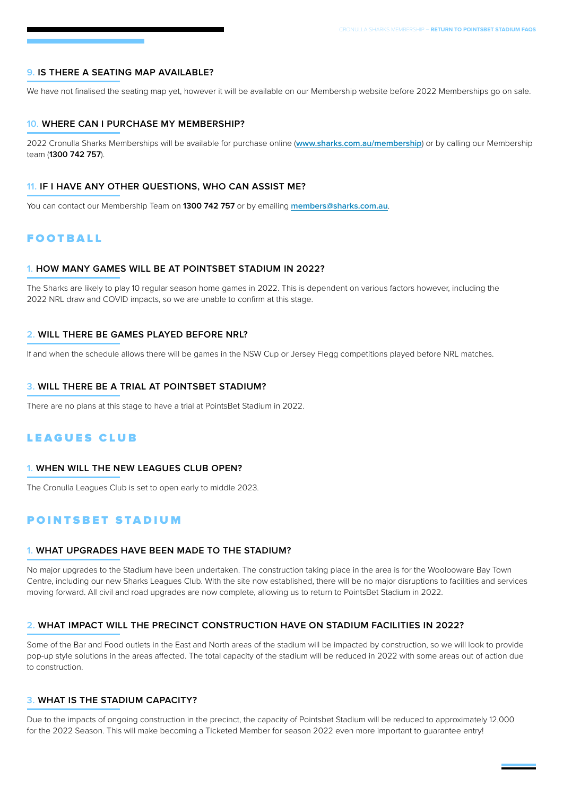#### **9. IS THERE A SEATING MAP AVAILABLE?**

We have not finalised the seating map yet, however it will be available on our Membership website before 2022 Memberships go on sale.

#### **10. WHERE CAN I PURCHASE MY MEMBERSHIP?**

2022 Cronulla Sharks Memberships will be available for purchase online (**[www.sharks.com.au/membership](http://www.sharks.com.au/membership)**) or by calling our Membership team (**1300 742 757**).

#### **11. IF I HAVE ANY OTHER QUESTIONS, WHO CAN ASSIST ME?**

You can contact our Membership Team on **1300 742 757** or by emailing **[members@sharks.com.au](mailto:members%40sharks.com.au?subject=)**.

# FOOTBALL

#### **1. HOW MANY GAMES WILL BE AT POINTSBET STADIUM IN 2022?**

The Sharks are likely to play 10 regular season home games in 2022. This is dependent on various factors however, including the 2022 NRL draw and COVID impacts, so we are unable to confirm at this stage.

#### **2. WILL THERE BE GAMES PLAYED BEFORE NRL?**

If and when the schedule allows there will be games in the NSW Cup or Jersey Flegg competitions played before NRL matches.

#### **3. WILL THERE BE A TRIAL AT POINTSBET STADIUM?**

There are no plans at this stage to have a trial at PointsBet Stadium in 2022.

# LEAGUES CLUB

#### **1. WHEN WILL THE NEW LEAGUES CLUB OPEN?**

The Cronulla Leagues Club is set to open early to middle 2023.

# POINTSBET STADIUM

#### **1. WHAT UPGRADES HAVE BEEN MADE TO THE STADIUM?**

No major upgrades to the Stadium have been undertaken. The construction taking place in the area is for the Woolooware Bay Town Centre, including our new Sharks Leagues Club. With the site now established, there will be no major disruptions to facilities and services moving forward. All civil and road upgrades are now complete, allowing us to return to PointsBet Stadium in 2022.

#### **2. WHAT IMPACT WILL THE PRECINCT CONSTRUCTION HAVE ON STADIUM FACILITIES IN 2022?**

Some of the Bar and Food outlets in the East and North areas of the stadium will be impacted by construction, so we will look to provide pop-up style solutions in the areas affected. The total capacity of the stadium will be reduced in 2022 with some areas out of action due to construction.

#### **3. WHAT IS THE STADIUM CAPACITY?**

Due to the impacts of ongoing construction in the precinct, the capacity of Pointsbet Stadium will be reduced to approximately 12,000 for the 2022 Season. This will make becoming a Ticketed Member for season 2022 even more important to guarantee entry!